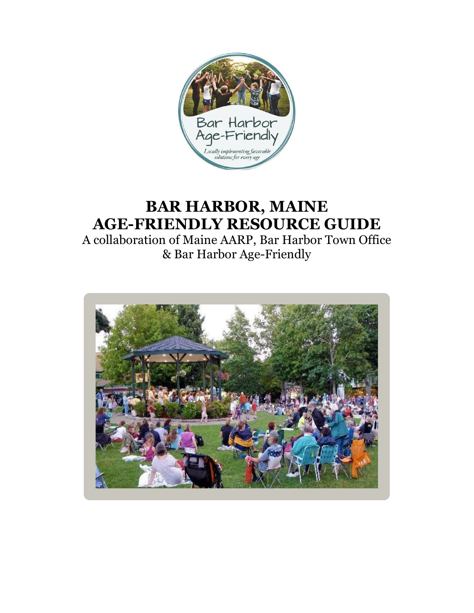

# **BAR HARBOR, MAINE AGE-FRIENDLY RESOURCE GUIDE**

A collaboration of Maine AARP, Bar Harbor Town Office & Bar Harbor Age-Friendly

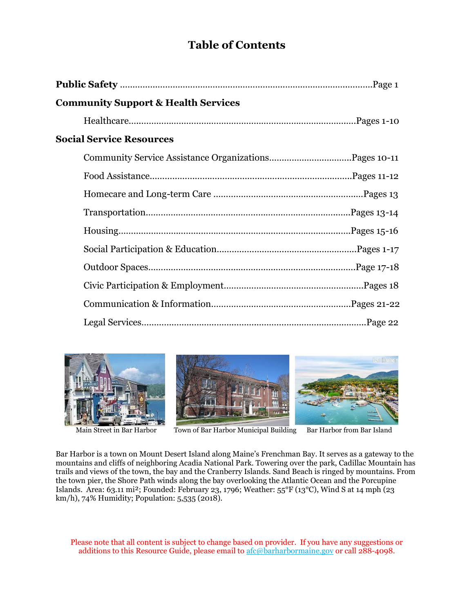## **Table of Contents**

| <b>Community Support &amp; Health Services</b> |  |
|------------------------------------------------|--|
|                                                |  |
| <b>Social Service Resources</b>                |  |
|                                                |  |
|                                                |  |
|                                                |  |
|                                                |  |
|                                                |  |
|                                                |  |
|                                                |  |
|                                                |  |
|                                                |  |
|                                                |  |





Main Street in Bar Harbor Town of Bar Harbor Municipal Building Bar Harbor from Bar Island

Bar Harbor is a town on Mount Desert Island along Maine's Frenchman Bay. It serves as a gateway to the mountains and cliffs of neighboring Acadia National Park. Towering over the park, Cadillac Mountain has trails and views of the town, the bay and the Cranberry Islands. Sand Beach is ringed by mountains. From the town pier, the Shore Path winds along the bay overlooking the Atlantic Ocean and the Porcupine Islands. Area: 63.11 mi²; Founded: February 23, 1796; Weather: 55°F (13°C), Wind S at 14 mph (23 km/h), 74% Humidity; Population: 5,535 (2018).

Please note that all content is subject to change based on provider. If you have any suggestions or additions to this Resource Guide, please email to [afc@barharbormaine.gov](mailto:afc@barharbormaine.gov) or call 288-4098.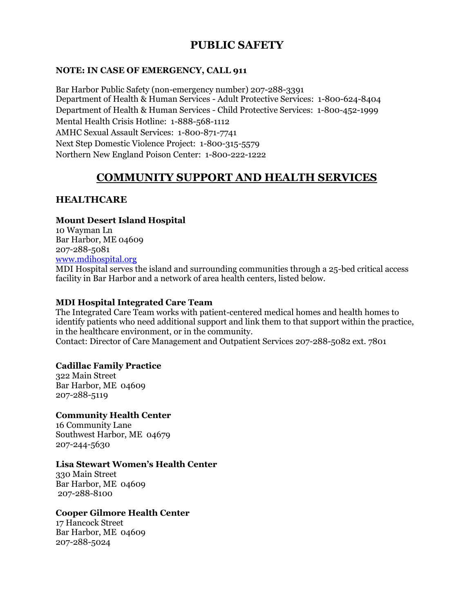### **PUBLIC SAFETY**

### **NOTE: IN CASE OF EMERGENCY, CALL 911**

Bar Harbor Public Safety (non-emergency number) 207-288-3391 Department of Health & Human Services - Adult Protective Services: 1-800-624-8404 Department of Health & Human Services - Child Protective Services: 1-800-452-1999 Mental Health Crisis Hotline: 1-888-568-1112 AMHC Sexual Assault Services: 1-800-871-7741 Next Step Domestic Violence Project: 1-800-315-5579 Northern New England Poison Center: 1-800-222-1222

### **COMMUNITY SUPPORT AND HEALTH SERVICES**

### **HEALTHCARE**

### **Mount Desert Island Hospital**

10 Wayman Ln Bar Harbor, ME 04609 207-288-5081 www[.mdihospital.org](http://mdihospital.org/)

MDI Hospital serves the island and surrounding communities through a 25-bed critical access facility in Bar Harbor and a network of area health centers, listed below.

### **MDI Hospital Integrated Care Team**

The Integrated Care Team works with patient-centered medical homes and health homes to identify patients who need additional support and link them to that support within the practice, in the healthcare environment, or in the community. Contact: Director of Care Management and Outpatient Services [207-288-5082 ext. 7801](about:blank)

### **Cadillac Family Practice**

322 Main Street Bar Harbor, ME 04609 207-288-5119

### **Community Health Center**

16 Community Lane Southwest Harbor, ME 04679 207-244-5630

### **Lisa Stewart Women's Health Center**

330 Main Street Bar Harbor, ME 04609 207-288-8100

### **Cooper Gilmore Health Center**

17 Hancock Street Bar Harbor, ME 04609 207-288-5024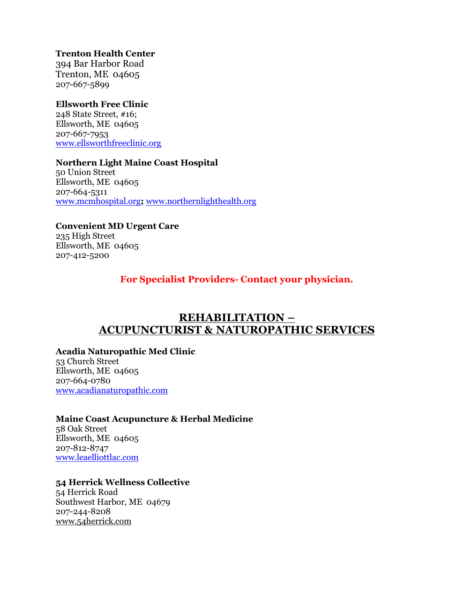### **Trenton Health Center**

394 Bar Harbor Road Trenton, ME 04605 207-667-5899

### **Ellsworth Free Clinic**

248 State Street, #16; Ellsworth, ME 04605 207-667-7953 [www.ellsworthfreeclinic.org](http://www.ellsworthfreeclinic.org/)

### **Northern Light Maine Coast Hospital**

50 Union Street Ellsworth, ME 04605 207-664-5311 [www.mcmhospital.org](http://www.mcmhospital.org/)**;** [www.northernlighthealth.org](http://www.northernlighthealth.org/)

**Convenient MD Urgent Care** 235 High Street Ellsworth, ME 04605 207-412-5200

### **For Specialist Providers- Contact your physician.**

### **REHABILITATION – ACUPUNCTURIST & NATUROPATHIC SERVICES**

**Acadia Naturopathic Med Clinic** 53 Church Street Ellsworth, ME 04605 207-664-0780 [www.acadianaturopathic.com](http://www.acadianaturopathic.com/)

### **Maine Coast Acupuncture & Herbal Medicine**

58 Oak Street Ellsworth, ME 04605 207-812-8747 [www.leaelliottlac.com](http://www.leaelliottlac.com/)

### **54 Herrick Wellness Collective**

54 Herrick Road Southwest Harbor, ME 04679 207-244-8208 [www.54herrick.com](http://www.54herrick.com/)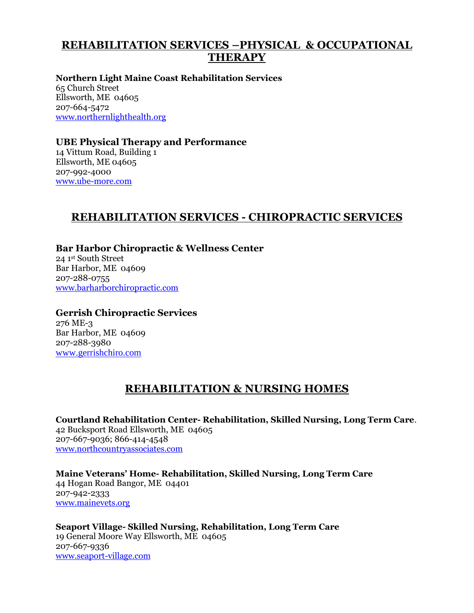### **REHABILITATION SERVICES –PHYSICAL & OCCUPATIONAL THERAPY**

**Northern Light Maine Coast Rehabilitation Services** 65 Church Street Ellsworth, ME 04605 207-664-5472 [www.northernlighthealth.org](http://www.northernlighthealth.org/)

**UBE Physical Therapy and Performance** 14 Vittum Road, Building 1 Ellsworth, ME 04605 207-992-4000 [www.ube-more.com](http://www.ube-more.com/)

### **REHABILITATION SERVICES - CHIROPRACTIC SERVICES**

**Bar Harbor Chiropractic & Wellness Center** 24 1st South Street Bar Harbor, ME 04609 207-288-0755 www.barharborchiropractic.com

**Gerrish Chiropractic Services** 276 ME-3 Bar Harbor, ME 04609 207-288-3980 [www.gerrishchiro.com](http://www.gerrishchiro.com/)

### **REHABILITATION & NURSING HOMES**

**Courtland Rehabilitation Center- Rehabilitation, Skilled Nursing, Long Term Care**. 42 Bucksport Road Ellsworth, ME 04605 207-667-9036; 866-414-4548 [www.northcountryassociates.com](http://www.northcountryassociates.com/)

**Maine Veterans' Home- Rehabilitation, Skilled Nursing, Long Term Care** 44 Hogan Road Bangor, ME 04401 207-942-2333 [www.mainevets.org](http://www.mainevets.org/)

**Seaport Village- Skilled Nursing, Rehabilitation, Long Term Care** 19 General Moore Way Ellsworth, ME 04605 207-667-9336 [www.seaport-village.com](http://www.seaport-village.com/)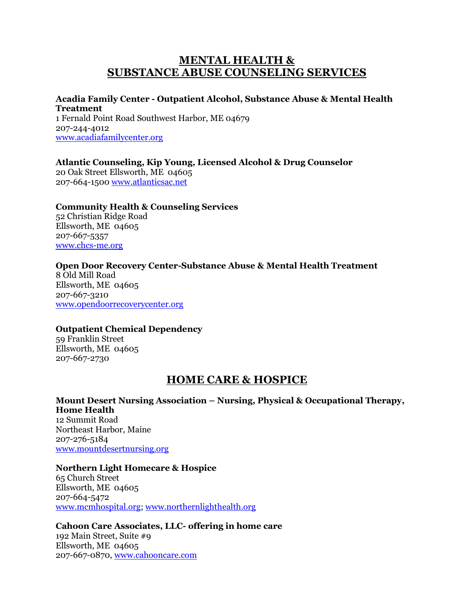### **MENTAL HEALTH & SUBSTANCE ABUSE COUNSELING SERVICES**

### **Acadia Family Center - Outpatient Alcohol, Substance Abuse & Mental Health Treatment** 1 Fernald Point Road Southwest Harbor, ME 04679

207-244-4012 [www.acadiafamilycenter.org](http://www.acadiafamilycenter.org/)

### **Atlantic Counseling, Kip Young, Licensed Alcohol & Drug Counselor**

20 Oak Street Ellsworth, ME 04605 207-664-1500 [www.atlanticsac.net](http://www.atlanticsac.net/)

### **Community Health & Counseling Services**

52 Christian Ridge Road Ellsworth, ME 04605 207-667-5357 [www.chcs-me.org](http://www.chcs-me.org/)

### **Open Door Recovery Center-Substance Abuse & Mental Health Treatment**

8 Old Mill Road Ellsworth, ME 04605 207-667-3210 [www.opendoorrecoverycenter.org](http://www.opendoorrecoverycenter.org/)

### **Outpatient Chemical Dependency**

59 Franklin Street Ellsworth, ME 04605 207-667-2730

### **HOME CARE & HOSPICE**

### **Mount Desert Nursing Association – Nursing, Physical & Occupational Therapy, Home Health**

12 Summit Road Northeast Harbor, Maine 207-276-5184 [www.mountdesertnursing.org](http://www.mountdesertnursing.org/)

### **Northern Light Homecare & Hospice**

65 Church Street Ellsworth, ME 04605 207-664-5472 [www.mcmhospital.org;](http://www.mcmhospital.org/) [www.northernlighthealth.org](http://www.northernlighthealth.org/)

### **Cahoon Care Associates, LLC- offering in home care**

192 Main Street, Suite #9 Ellsworth, ME 04605 207-667-0870, [www.cahooncare.com](http://www.cahooncare.com/)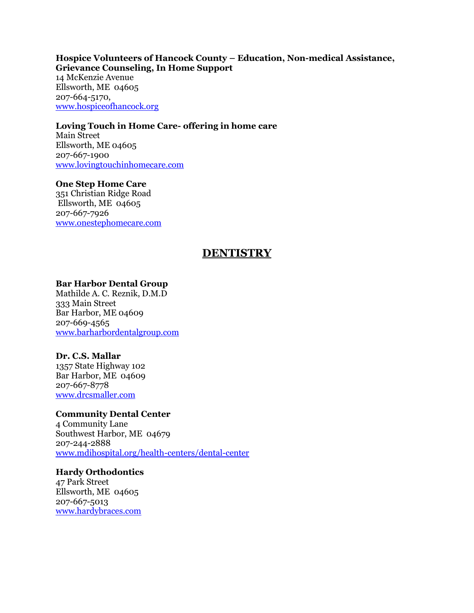**Hospice Volunteers of Hancock County – Education, Non-medical Assistance, Grievance Counseling, In Home Support** 14 McKenzie Avenue Ellsworth, ME 04605 207-664-5170, [www.hospiceofhancock.org](http://www.hospiceofhancock.org/)

#### **Loving Touch in Home Care- offering in home care**

Main Street Ellsworth, ME 04605 207-667-1900 [www.lovingtouchinhomecare.com](http://www.lovingtouchinhomecare.com/)

#### **One Step Home Care**

351 Christian Ridge Road Ellsworth, ME 04605 207-667-7926 [www.onestephomecare.com](http://www.onestephomecare.com/)

### **DENTISTRY**

### **Bar Harbor Dental Group**

Mathilde A. C. Reznik, D.M.D 333 Main Street Bar Harbor, ME 04609 207-669-4565 www.barharbordentalgroup.com

#### **Dr. C.S. Mallar**

1357 State Highway 102 Bar Harbor, ME 04609 207-667-8778 www.drcsmaller.com

#### **Community Dental Center**

4 Community Lane Southwest Harbor, ME 04679 207-244-2888 www.mdihospital.org/health-centers/dental-center

#### **Hardy Orthodontics**

47 Park Street Ellsworth, ME 04605 207-667-5013 [www.hardybraces.com](http://www.hardybraces.com/)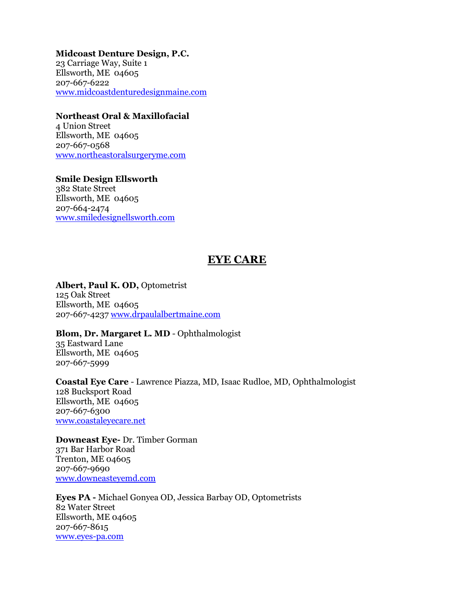**Midcoast Denture Design, P.C.** 23 Carriage Way, Suite 1 Ellsworth, ME 04605 207-667-6222 [www.midcoastdenturedesignmaine.com](http://www.midcoastdenturedesignmaine.com/)

**Northeast Oral & Maxillofacial** 4 Union Street Ellsworth, ME 04605 207-667-0568 [www.northeastoralsurgeryme.com](http://www.northeastoralsurgeryme.com/)

**Smile Design Ellsworth** 382 State Street Ellsworth, ME 04605 207-664-2474 [www.smiledesignellsworth.com](http://www.smiledesignellsworth.com/)

### **EYE CARE**

**Albert, Paul K. OD,** Optometrist 125 Oak Street Ellsworth, ME 04605 207-667-4237 [www.drpaulalbertmaine.com](http://www.drpaulalbertmaine.com/)

**Blom, Dr. Margaret L. MD** - Ophthalmologist 35 Eastward Lane Ellsworth, ME 04605 207-667-5999

**Coastal Eye Care** - Lawrence Piazza, MD, Isaac Rudloe, MD, Ophthalmologist 128 Bucksport Road Ellsworth, ME 04605 207-667-6300 [www.coastaleyecare.net](http://www.coastaleyecare.net/)

**Downeast Eye-** Dr. Timber Gorman 371 Bar Harbor Road Trenton, ME 04605 207-667-9690 [www.downeasteyemd.com](http://www.downeasteyemd.com/)

**Eyes PA -** Michael Gonyea OD, Jessica Barbay OD, Optometrists 82 Water Street Ellsworth, ME 04605 207-667-8615 [www.eyes-pa.com](http://www.eyes-pa.com/)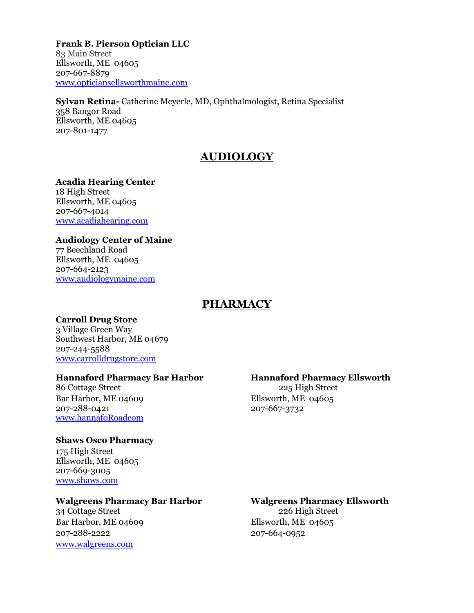**Frank B. Pierson Optician LLC** 83 Main Street Ellsworth, ME 04605 207-667-8879 [www.opticiansellsworthmaine.com](http://www.opticiansellsworthmaine.com/)

**Sylvan Retina-** Catherine Meyerle, MD, Ophthalmologist, Retina Specialist 358 Bangor Road Ellsworth, ME 04605 207-801-1477

### **AUDIOLOGY**

### **Acadia Hearing Center**

18 High Street Ellsworth, ME 04605 207-667-4014 [www.acadiahearing.com](http://www.acadiahearing.com/)

### **Audiology Center of Maine** 77 Beechland Road

Ellsworth, ME 04605 207-664-2123 [www.audiologymaine.com](http://www.audiologymaine.com/)

### **PHARMACY**

### **Carroll Drug Store**

3 Village Green Way Southwest Harbor, ME 04679 207-244-5588 ww[w.carrolldrugstore.com](http://www.carrolldrugstore.com/)

### **Hannaford Pharmacy Bar Harbor Hannaford Pharmacy Ellsworth**

86 Cottage Street 225 High Street Bar Harbor, ME 04609 Ellsworth, ME 04605 207-288-0421 207-667-3732 [www.hannafoRoadcom](http://www.hannaford.com/)

### **Shaws Osco Pharmacy**

175 High Street Ellsworth, ME 04605 207-669-3005 [www.shaws.com](http://www.shaws.com/)

# **Walgreens Pharmacy Bar Harbor Walgreens Pharmacy Ellsworth**<br>34 Cottage Street 226 High Street

34 Cottage Street Bar Harbor, ME 04609 Ellsworth, ME 04605 207-288-2222 207-664-0952 [www.walgreens.com](http://www.walgreens.com/)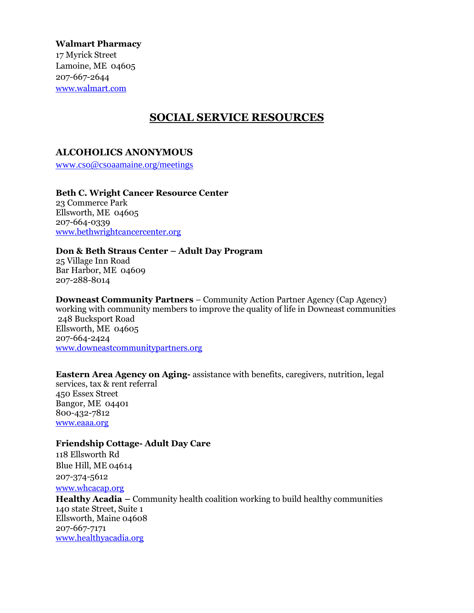**Walmart Pharmacy** 17 Myrick Street Lamoine, ME 04605 207-667-2644 [www.walmart.com](http://www.walmart.com/)

### **SOCIAL SERVICE RESOURCES**

### **ALCOHOLICS ANONYMOUS**

[www.cso@csoaamaine.org/meetings](http://www.cso@csoaamaine.org/meetings)

**Beth C. Wright Cancer Resource Center**  23 Commerce Park Ellsworth, ME 04605 207-664-0339 [www.bethwrightcancercenter.org](http://www.bethwrightcancercenter.org/)

### **Don & Beth Straus Center – Adult Day Program**

25 Village Inn Road Bar Harbor, ME 04609 207-288-8014

**Downeast Community Partners** – Community Action Partner Agency (Cap Agency) working with community members to improve the quality of life in Downeast communities 248 Bucksport Road Ellsworth, ME 04605 207-664-2424 [www.downeastcommunitypartners.org](http://www.downeastcommunitypartners.org/)

### **Eastern Area Agency on Aging-** assistance with benefits, caregivers, nutrition, legal

services, tax & rent referral 450 Essex Street Bangor, ME 04401 800-432-7812 [www.eaaa.org](http://www.eaaa.org/)

#### **Friendship Cottage- Adult Day Care**

118 Ellsworth Rd Blue Hill, ME 04614 207-374-5612 [www.whcacap.org](http://www.whcacap.org/)

**Healthy Acadia –** Community health coalition working to build healthy communities 140 state Street, Suite 1 Ellsworth, Maine 04608 207-667-7171 www.healthyacadia.org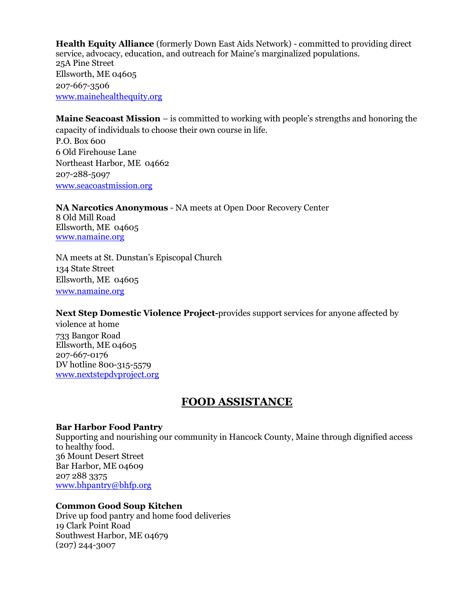**Health Equity Alliance** (formerly Down East Aids Network) - committed to providing direct service, advocacy, education, and outreach for Maine's marginalized populations. 25A Pine Street Ellsworth, ME 04605 207-667-3506 [www.mainehealthequity.org](http://www.mainehealthequity.org/)

**Maine Seacoast Mission** – is committed to working with people's strengths and honoring the capacity of individuals to choose their own course in life. P.O. Box 600 6 Old Firehouse Lane Northeast Harbor, ME 04662 207-288-5097 www.seacoastmission.org

**NA Narcotics Anonymous** - NA meets at Open Door Recovery Center 8 Old Mill Road Ellsworth, ME 04605 [www.namaine.org](http://www.namaine.org/)

NA meets at St. Dunstan's Episcopal Church 134 State Street Ellsworth, ME 04605 [www.namaine.org](http://www.namaine.org/)

**Next Step Domestic Violence Project-**provides support services for anyone affected by

violence at home 733 Bangor Road Ellsworth, ME 04605 207-667-0176 DV hotline 800-315-5579 [www.nextstepdvproject.org](http://www.nextstepdvproject.org/)

### **FOOD ASSISTANCE**

#### **Bar Harbor Food Pantry**

Supporting and nourishing our community in Hancock County, Maine through dignified access to healthy food. 36 Mount Desert Street Bar Harbor, ME 04609 207 288 3375 www.bhpantry@bhfp.org

#### **Common Good Soup Kitchen**

Drive up food pantry and home food deliveries 19 Clark Point Road Southwest Harbor, ME 04679 (207) 244-3007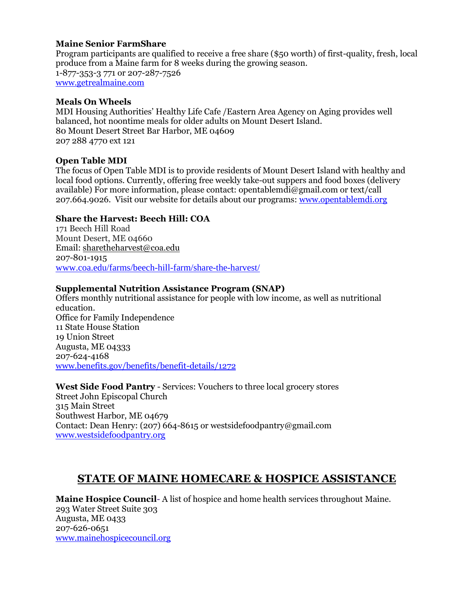### **Maine Senior FarmShare**

Program participants are qualified to receive a free share (\$50 worth) of first-quality, fresh, local produce from a Maine farm for 8 weeks during the growing season. 1-877-353-3 771 or 207-287-7526 [www.getrealmaine.com](http://www.getrealmaine.com/)

#### **Meals On Wheels**

MDI Housing Authorities' Healthy Life Cafe /Eastern Area Agency on Aging provides well balanced, hot noontime meals for older adults on Mount Desert Island. 80 Mount Desert Street Bar Harbor, ME 04609 207 288 4770 ext 121

### **Open Table MDI**

The focus of Open Table MDI is to provide residents of Mount Desert Island with healthy and local food options. Currently, offering free weekly take-out suppers and food boxes (delivery available) For more information, please contact: opentablemdi@gmail.com or text/call 207.664.9026. Visit our website for details about our programs: [www.opentablemdi.org](http://www.opentablemdi.org/) 

### **Share the Harvest: Beech Hill: COA**

171 Beech Hill Road Mount Desert, ME 04660 Email: [sharetheharvest@coa.edu](mailto:sharetheharvest@coa.edu) 207-801-1915 [www.coa.edu/farms/beech-hill-farm/share-the-harvest/](http://www.coa.edu/farms/beech-hill-farm/share-the-harvest/)

### **Supplemental Nutrition Assistance Program (SNAP)**

Offers monthly nutritional assistance for people with low income, as well as nutritional education. Office for Family Independence 11 State House Station 19 Union Street Augusta, ME 04333 207-624-4168 [www.benefits.gov/benefits/benefit-details/1272](http://www.benefits.gov/benefits/benefit-details/1272)

**West Side Food Pantry** - Services: Vouchers to three local grocery stores Street John Episcopal Church 315 Main Street Southwest Harbor, ME 04679 Contact: Dean Henry: (207) 664-8615 or westsidefoodpantry@gmail.com www.westsidefoodpantry.org

### **STATE OF MAINE HOMECARE & HOSPICE ASSISTANCE**

**Maine Hospice Council**- A list of hospice and home health services throughout Maine. 293 Water Street Suite 303 Augusta, ME 0433 207-626-0651 [www.mainehospicecouncil.org](http://www.mainehospicecouncil.org/)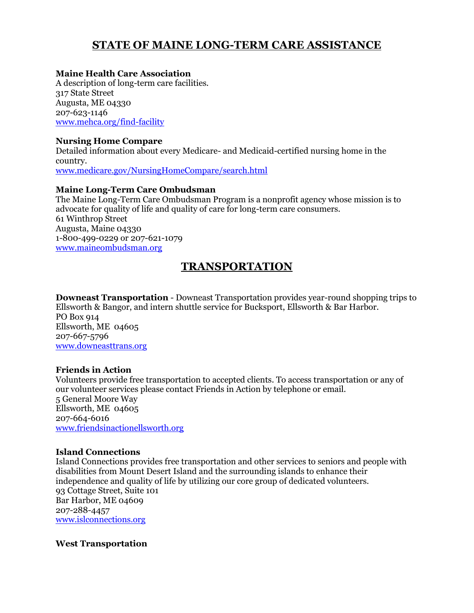### **STATE OF MAINE LONG-TERM CARE ASSISTANCE**

### **Maine Health Care Association**

A description of long-term care facilities. 317 State Street Augusta, ME 04330 207-623-1146 [www.mehca.org/find-facility](http://www.mehca.org/find-facility)

#### **Nursing Home Compare**

Detailed information about every Medicare- and Medicaid-certified nursing home in the country. [www.medicare.gov/NursingHomeCompare/search.html](http://www.medicare.gov/NursingHomeCompare/search.html)

### **Maine Long-Term Care Ombudsman**

The Maine Long-Term Care Ombudsman Program is a nonprofit agency whose mission is to advocate for quality of life and quality of care for long-term care consumers. 61 Winthrop Street Augusta, Maine 04330 1-800-499-0229 or 207-621-1079 [www.maineombudsman.org](http://www.maineombudsman.org/)

### **TRANSPORTATION**

**Downeast Transportation** - Downeast Transportation provides year-round shopping trips to Ellsworth & Bangor, and intern shuttle service for Bucksport, Ellsworth & Bar Harbor. PO Box 914 Ellsworth, ME 04605 207-667-5796 [www.downeasttrans.org](http://www.downeasttrans.org/)

#### **Friends in Action**

Volunteers provide free transportation to accepted clients. To access transportation or any of our volunteer services please contact Friends in Action by telephone or email. 5 General Moore Way Ellsworth, ME 04605 207-664-6016 [www.friendsinactionellsworth.org](http://www.friendsinactionellsworth.org/)

#### **Island Connections**

Island Connections provides free transportation and other services to seniors and people with disabilities from Mount Desert Island and the surrounding islands to enhance their independence and quality of life by utilizing our core group of dedicated volunteers. 93 Cottage Street, Suite 101 Bar Harbor, ME 04609 207-288-4457 www.islconnections.org

#### **West Transportation**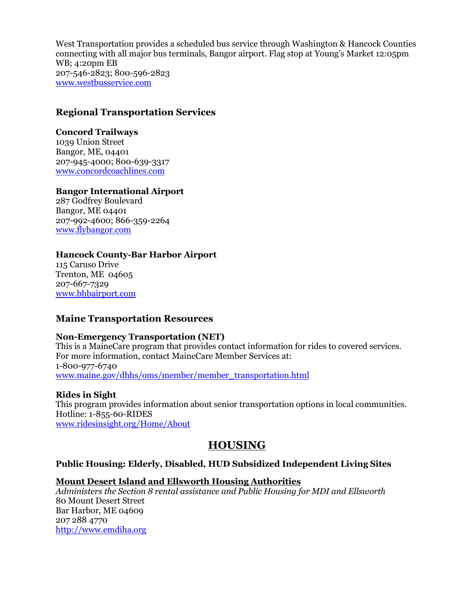West Transportation provides a scheduled bus service through Washington & Hancock Counties connecting with all major bus terminals, Bangor airport. Flag stop at Young's Market 12:05pm WB; 4:20pm EB 207-546-2823; 800-596-2823 [www.westbusservice.com](http://www.westbusservice.com/)

### **Regional Transportation Services**

### **Concord Trailways**

1039 Union Street Bangor, ME, 04401 207-945-4000; 800-639-3317 [www.concordcoachlines.com](http://www.concordcoachlines.com/)

### **Bangor International Airport**

287 Godfrey Boulevard Bangor, ME 04401 207-992-4600; 866-359-2264 [www.flybangor.com](http://www.flybangor.com/)

### **Hancock County-Bar Harbor Airport**

115 Caruso Drive Trenton, ME 04605 207-667-7329 [www.bhbairport.com](http://www.bhbairport.com/)

### **Maine Transportation Resources**

#### **Non-Emergency Transportation (NET)**

This is a MaineCare program that provides contact information for rides to covered services. For more information, contact MaineCare Member Services at: 1-800-977-6740 [www.maine.gov/dhhs/oms/member/member\\_transportation.html](http://www.maine.gov/dhhs/oms/member/member_transportation.html)

**Rides in Sight** This program provides information about senior transportation options in local communities. Hotline: 1-855-60-RIDES [www.ridesinsight.org/Home/About](http://www.ridesinsight.org/Home/About)

### **HOUSING**

### **Public Housing: Elderly, Disabled, HUD Subsidized Independent Living Sites**

#### **Mount Desert Island and Ellsworth Housing Authorities**

*Administers the Section 8 rental assistance and Public Housing for MDI and Ellsworth* 80 Mount Desert Street Bar Harbor, ME 04609 207 288 4770 [http://www.emdiha.org](http://www.emdiha.org/)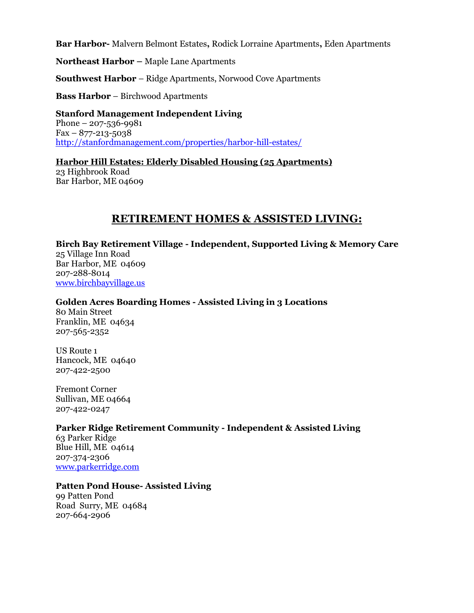**Bar Harbor-** Malvern Belmont Estates**,** Rodick Lorraine Apartments**,** Eden Apartments

**Northeast Harbor –** Maple Lane Apartments

**Southwest Harbor** – Ridge Apartments, Norwood Cove Apartments

**Bass Harbor** – Birchwood Apartments

**Stanford Management Independent Living** Phone –  $207 - 536 - 9981$  $Fax - 877 - 213 - 5038$ <http://stanfordmanagement.com/properties/harbor-hill-estates/>

**Harbor Hill Estates: Elderly Disabled Housing (25 Apartments)** 23 Highbrook Road Bar Harbor, ME 04609

### **RETIREMENT HOMES & ASSISTED LIVING:**

**Birch Bay Retirement Village - Independent, Supported Living & Memory Care**  25 Village Inn Road Bar Harbor, ME 04609

207-288-8014 [www.birchbayvillage.us](http://www.birchbayvillage.us/)

**Golden Acres Boarding Homes - Assisted Living in 3 Locations** 80 Main Street Franklin, ME 04634 207-565-2352

US Route 1 Hancock, ME 04640 207-422-2500

Fremont Corner Sullivan, ME 04664 207-422-0247

### **Parker Ridge Retirement Community - Independent & Assisted Living**

63 Parker Ridge Blue Hill, ME 04614 207-374-2306 [www.parkerridge.com](http://www.parkerridge.com/)

### **Patten Pond House- Assisted Living**

99 Patten Pond Road Surry, ME 04684 207-664-2906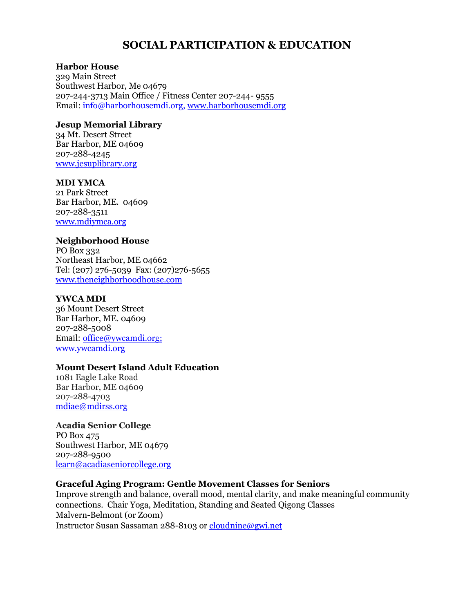### **SOCIAL PARTICIPATION & EDUCATION**

### **Harbor House**

329 Main Street Southwest Harbor, Me 04679 207-244-3713 Main Office / Fitness Center 207-244- 9555 Email: [info@harborhousemdi.org,](mailto:info@harborhousemdi.org) [www.harborhousemdi.org](http://www.harborhousemdi.org/)

### **Jesup Memorial Library**

34 Mt. Desert Street Bar Harbor, ME 04609 207-288-4245 www[.jesuplibrary.org](http://jesuplibrary.org/)

#### **MDI YMCA**

21 Park Street Bar Harbor, ME. 04609 207-288-3511 www.mdiymca.org

### **Neighborhood House**

PO Box 332 Northeast Harbor, ME 04662 Tel: (207) 276-5039 Fax: (207)276-5655 www.theneighborhoodhouse.com

### **YWCA MDI**

36 Mount Desert Street Bar Harbor, ME. 04609 207-288-5008 Email: [office@ywcamdi.org;](mailto:office@ywcamdi.org) www.ywcamdi.org

### **Mount Desert Island Adult Education**

1081 Eagle Lake Road Bar Harbor, ME 04609 207-288-4703 [mdiae@mdirss.org](mailto:mdiae@mdirss.org)

### **Acadia Senior College**

PO Box 475 Southwest Harbor, ME 04679 207-288-9500 learn@acadiaseniorcollege.org

### **Graceful Aging Program: Gentle Movement Classes for Seniors**

Improve strength and balance, overall mood, mental clarity, and make meaningful community connections. Chair Yoga, Meditation, Standing and Seated Qigong Classes Malvern-Belmont (or Zoom) Instructor Susan Sassaman 288-8103 or [cloudnine@gwi.net](mailto:cloudnine@gwi.net)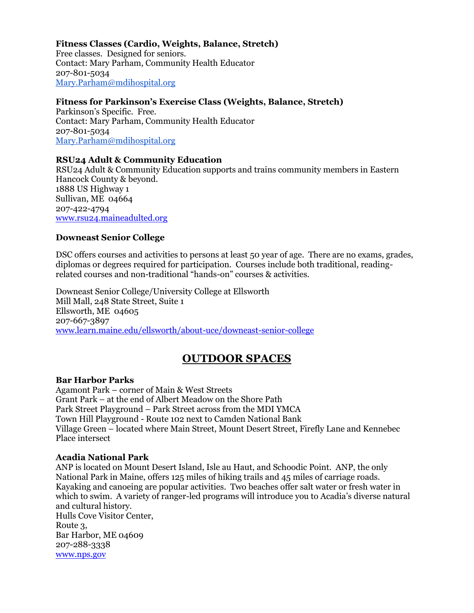### **Fitness Classes (Cardio, Weights, Balance, Stretch)**

Free classes. Designed for seniors. Contact: Mary Parham, Community Health Educator 207-801-5034 [Mary.Parham@mdihospital.org](mailto:Mary.Parham@mdihospital.org)

### **Fitness for Parkinson's Exercise Class (Weights, Balance, Stretch)**

Parkinson's Specific. Free. Contact: Mary Parham, Community Health Educator 207-801-5034 [Mary.Parham@mdihospital.org](mailto:Mary.Parham@mdihospital.org)

### **RSU24 Adult & Community Education**

RSU24 Adult & Community Education supports and trains community members in Eastern Hancock County & beyond. 1888 US Highway 1 Sullivan, ME 04664 207-422-4794 [www.rsu24.maineadulted.org](http://www.rsu24.maineadulted.org/)

### **Downeast Senior College**

DSC offers courses and activities to persons at least 50 year of age. There are no exams, grades, diplomas or degrees required for participation. Courses include both traditional, readingrelated courses and non-traditional "hands-on" courses & activities.

Downeast Senior College/University College at Ellsworth Mill Mall, 248 State Street, Suite 1 Ellsworth, ME 04605 207-667-3897 [www.learn.maine.edu/ellsworth/about-uce/downeast-senior-college](http://www.learn.maine.edu/ellsworth/about-uce/downeast-senior-college)

### **OUTDOOR SPACES**

### **Bar Harbor Parks**

Agamont Park – corner of Main & West Streets Grant Park – at the end of Albert Meadow on the Shore Path Park Street Playground – Park Street across from the MDI YMCA Town Hill Playground - Route 102 next to Camden National Bank Village Green – located where Main Street, Mount Desert Street, Firefly Lane and Kennebec Place intersect

#### **Acadia National Park**

ANP is located on Mount Desert Island, Isle au Haut, and Schoodic Point. ANP, the only National Park in Maine, offers 125 miles of hiking trails and 45 miles of carriage roads. Kayaking and canoeing are popular activities. Two beaches offer salt water or fresh water in which to swim. A variety of ranger-led programs will introduce you to Acadia's diverse natural and cultural history. Hulls Cove Visitor Center, Route 3, Bar Harbor, ME 04609 207-288-3338 [www.nps.gov](http://www.nps.gov/)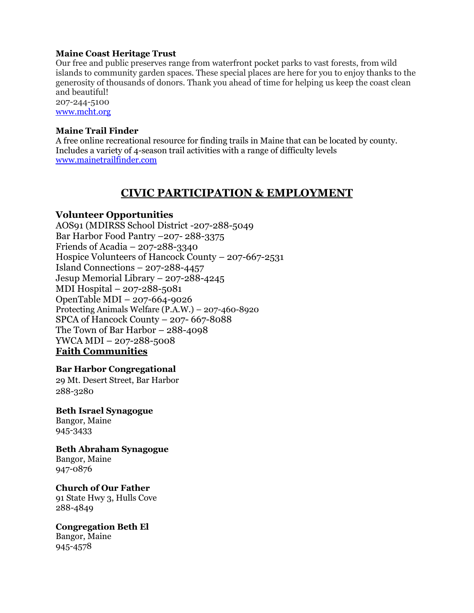### **Maine Coast Heritage Trust**

Our free and public preserves range from waterfront pocket parks to vast forests, from wild islands to community garden spaces. These special places are here for you to enjoy thanks to the generosity of thousands of donors. Thank you ahead of time for helping us keep the coast clean and beautiful!

207-244-5100 [www.mcht.org](http://www.mcht.org/)

#### **Maine Trail Finder**

A free online recreational resource for finding trails in Maine that can be located by county. Includes a variety of 4-season trail activities with a range of difficulty levels [www.mainetrailfinder.com](http://www.mainetrailfinder.com/)

### **CIVIC PARTICIPATION & EMPLOYMENT**

### **Volunteer Opportunities**

AOS91 (MDIRSS School District -207-288-5049 Bar Harbor Food Pantry –207- 288-3375 Friends of Acadia – 207-288-3340 Hospice Volunteers of Hancock County – 207-667-2531 Island Connections – 207-288-4457 Jesup Memorial Library – 207-288-4245 MDI Hospital – 207-288-5081 OpenTable MDI – 207-664-9026 Protecting Animals Welfare (P.A.W.) – 207-460-8920 SPCA of Hancock County – 207- 667-8088 The Town of Bar Harbor – 288-4098 YWCA MDI – 207-288-5008 **Faith Communities**

### **Bar Harbor Congregational**

29 Mt. Desert Street, Bar Harbor 288-3280

### **Beth Israel Synagogue** Bangor, Maine

945-3433

## **Beth Abraham Synagogue**

Bangor, Maine 947-0876

#### **Church of Our Father** 91 State Hwy 3, Hulls Cove 288-4849

**Congregation Beth El**

Bangor, Maine 945-4578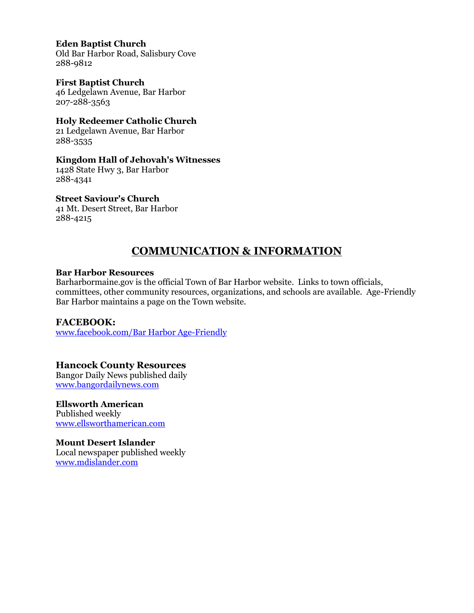### **Eden Baptist Church**

Old Bar Harbor Road, Salisbury Cove 288-9812

### **First Baptist Church**

46 Ledgelawn Avenue, Bar Harbor 207-288-3563

### **Holy Redeemer Catholic Church**

21 Ledgelawn Avenue, Bar Harbor 288-3535

### **Kingdom Hall of Jehovah's Witnesses**

1428 State Hwy 3, Bar Harbor 288-4341

### **Street Saviour's Church**

41 Mt. Desert Street, Bar Harbor 288-4215

### **COMMUNICATION & INFORMATION**

#### **Bar Harbor Resources**

Barharbormaine.gov is the official Town of Bar Harbor website. Links to town officials, committees, other community resources, organizations, and schools are available. Age-Friendly Bar Harbor maintains a page on the Town website.

### **FACEBOOK:**

[www.facebook.com/B](http://www.facebook.com/townofsullivan)ar Harbor Age-Friendly

### **Hancock County Resources**

Bangor Daily News published daily [www.bangordailynews.com](http://www.bangordailynews.com/)

**Ellsworth American** Published weekly [www.ellsworthamerican.com](http://www.ellsworthamerican.com/)

**Mount Desert Islander** Local newspaper published weekly www.mdislander.com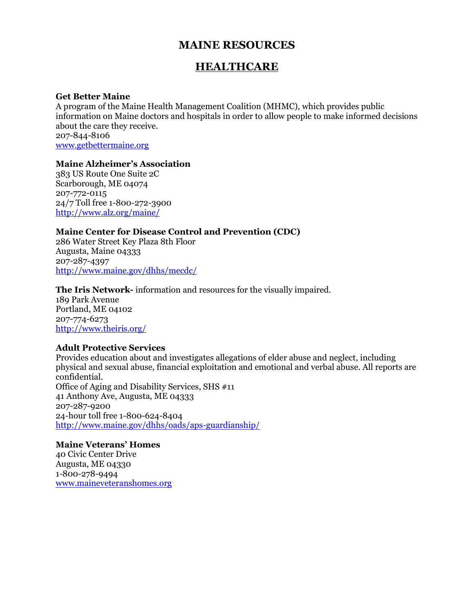### **MAINE RESOURCES**

### **HEALTHCARE**

#### **Get Better Maine**

A program of the Maine Health Management Coalition (MHMC), which provides public information on Maine doctors and hospitals in order to allow people to make informed decisions about the care they receive. 207-844-8106 [www.getbettermaine.org](http://www.getbettermaine.org/)

### **Maine Alzheimer's Association**

383 US Route One Suite 2C Scarborough, ME 04074 207-772-0115 24/7 Toll free 1-800-272-3900 <http://www.alz.org/maine/>

### **Maine Center for Disease Control and Prevention (CDC)**

286 Water Street Key Plaza 8th Floor Augusta, Maine 04333 207-287-4397 <http://www.maine.gov/dhhs/mecdc/>

**The Iris Network-** information and resources for the visually impaired.

189 Park Avenue Portland, ME 04102 207-774-6273 <http://www.theiris.org/>

### **Adult Protective Services**

Provides education about and investigates allegations of elder abuse and neglect, including physical and sexual abuse, financial exploitation and emotional and verbal abuse. All reports are confidential. Office of Aging and Disability Services, SHS #11 41 Anthony Ave, Augusta, ME 04333 207-287-9200 24-hour toll free 1-800-624-8404 <http://www.maine.gov/dhhs/oads/aps-guardianship/>

#### **Maine Veterans' Homes** 40 Civic Center Drive

Augusta, ME 04330 1-800-278-9494 [www.maineveteranshomes.org](http://www.maineveteranshomes.org/)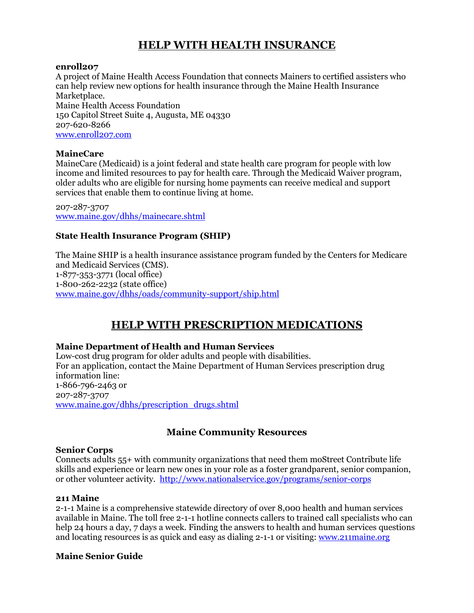### **HELP WITH HEALTH INSURANCE**

### **enroll207**

A project of Maine Health Access Foundation that connects Mainers to certified assisters who can help review new options for health insurance through the Maine Health Insurance Marketplace. Maine Health Access Foundation 150 Capitol Street Suite 4, Augusta, ME 04330 207-620-8266 [www.enroll207.com](http://www.enroll207.com/)

### **MaineCare**

MaineCare (Medicaid) is a joint federal and state health care program for people with low income and limited resources to pay for health care. Through the Medicaid Waiver program, older adults who are eligible for nursing home payments can receive medical and support services that enable them to continue living at home.

207-287-3707 [www.maine.gov/dhhs/mainecare.shtml](http://www.maine.gov/dhhs/mainecare.shtml)

### **State Health Insurance Program (SHIP)**

The Maine SHIP is a health insurance assistance program funded by the Centers for Medicare and Medicaid Services (CMS). 1-877-353-3771 (local office) 1-800-262-2232 (state office) [www.maine.gov/dhhs/oads/community-support/ship.html](http://www.maine.gov/dhhs/oads/community-support/ship.html)

### **HELP WITH PRESCRIPTION MEDICATIONS**

### **Maine Department of Health and Human Services**

Low-cost drug program for older adults and people with disabilities. For an application, contact the Maine Department of Human Services prescription drug information line: 1-866-796-2463 or 207-287-3707 [www.maine.gov/dhhs/prescription\\_drugs.shtml](http://www.maine.gov/dhhs/prescription_drugs.shtml)

### **Maine Community Resources**

#### **Senior Corps**

Connects adults 55+ with community organizations that need them moStreet Contribute life skills and experience or learn new ones in your role as a foster grandparent, senior companion, or other volunteer activity. <http://www.nationalservice.gov/programs/senior-corps>

#### **211 Maine**

2-1-1 Maine is a comprehensive statewide directory of over 8,000 health and human services available in Maine. The toll free 2-1-1 hotline connects callers to trained call specialists who can help 24 hours a day, 7 days a week. Finding the answers to health and human services questions and locating resources is as quick and easy as dialing 2-1-1 or visiting[: www.211maine.org](http://www.211maine.org/)

### **Maine Senior Guide**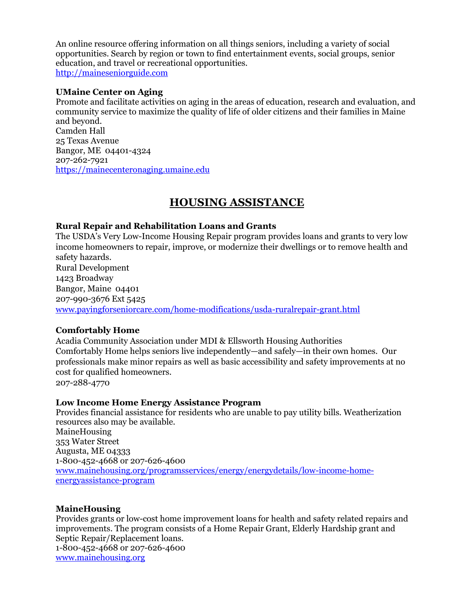An online resource offering information on all things seniors, including a variety of social opportunities. Search by region or town to find entertainment events, social groups, senior education, and travel or recreational opportunities. http://maineseniorguide.com

#### **UMaine Center on Aging**

Promote and facilitate activities on aging in the areas of education, research and evaluation, and community service to maximize the quality of life of older citizens and their families in Maine and beyond. Camden Hall

25 Texas Avenue Bangor, ME 04401-4324 207-262-7921 https://mainecenteronaging.umaine.edu

### **HOUSING ASSISTANCE**

### **Rural Repair and Rehabilitation Loans and Grants**

The USDA's Very Low-Income Housing Repair program provides loans and grants to very low income homeowners to repair, improve, or modernize their dwellings or to remove health and safety hazards. Rural Development 1423 Broadway Bangor, Maine 04401 207-990-3676 Ext 5425 [www.payingforseniorcare.com/home-modifications/usda-ruralrepair-grant.html](https://gcc02.safelinks.protection.outlook.com/?url=http%3A%2F%2Fwww.payingforseniorcare.com%2Fhome-modifications%2Fusda-ruralrepair-grant.html&data=04%7C01%7C%7C116ed08bfc354cc355d808d8bf16a800%7Ced5b36e701ee4ebc867ee03cfa0d4697%7C0%7C0%7C637469451325391199%7CUnknown%7CTWFpbGZsb3d8eyJWIjoiMC4wLjAwMDAiLCJQIjoiV2luMzIiLCJBTiI6Ik1haWwiLCJXVCI6Mn0%3D%7C1000&sdata=sRiqQTlL%2F5%2B%2BMVxLbtQ5OfySx3QYIoOYvdYNmux9dzk%3D&reserved=0)

### **Comfortably Home**

Acadia Community Association under MDI & Ellsworth Housing Authorities Comfortably Home helps seniors live independently—and safely—in their own homes. Our professionals make minor repairs as well as basic accessibility and safety improvements at no cost for qualified homeowners. 207-288-4770

### **Low Income Home Energy Assistance Program**

Provides financial assistance for residents who are unable to pay utility bills. Weatherization resources also may be available. MaineHousing 353 Water Street Augusta, ME 04333 1-800-452-4668 or 207-626-4600 [www.mainehousing.org/programsservices/energy/energydetails/low-income-home](http://www.mainehousing.org/programsservices/energy/energydetails/low-income-home-energyassistance-program)[energyassistance-program](http://www.mainehousing.org/programsservices/energy/energydetails/low-income-home-energyassistance-program)

### **MaineHousing**

Provides grants or low-cost home improvement loans for health and safety related repairs and improvements. The program consists of a Home Repair Grant, Elderly Hardship grant and Septic Repair/Replacement loans. 1-800-452-4668 or 207-626-4600 [www.mainehousing.org](http://www.mainehousing.org/)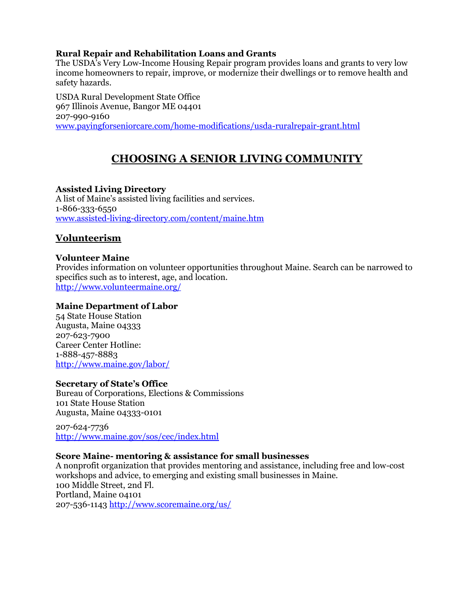### **Rural Repair and Rehabilitation Loans and Grants**

The USDA's Very Low-Income Housing Repair program provides loans and grants to very low income homeowners to repair, improve, or modernize their dwellings or to remove health and safety hazards.

USDA Rural Development State Office 967 Illinois Avenue, Bangor ME 04401 207-990-9160 [www.payingforseniorcare.com/home-modifications/usda-ruralrepair-grant.html](http://www.payingforseniorcare.com/home-modifications/usda-ruralrepair-grant.html)

## **CHOOSING A SENIOR LIVING COMMUNITY**

**Assisted Living Directory** A list of Maine's assisted living facilities and services. 1-866-333-6550 [www.assisted-living-directory.com/content/maine.htm](http://www.assisted-living-directory.com/content/maine.htm)

### **Volunteerism**

### **Volunteer Maine**

Provides information on volunteer opportunities throughout Maine. Search can be narrowed to specifics such as to interest, age, and location. <http://www.volunteermaine.org/>

### **Maine Department of Labor**

54 State House Station Augusta, Maine 04333 207-623-7900 Career Center Hotline: 1-888-457-8883 <http://www.maine.gov/labor/>

### **Secretary of State's Office**

Bureau of Corporations, Elections & Commissions 101 State House Station Augusta, Maine 04333-0101

207-624-7736 <http://www.maine.gov/sos/cec/index.html>

### **Score Maine- mentoring & assistance for small businesses**

A nonprofit organization that provides mentoring and assistance, including free and low-cost workshops and advice, to emerging and existing small businesses in Maine. 100 Middle Street, 2nd Fl. Portland, Maine 04101 207-536-1143<http://www.scoremaine.org/us/>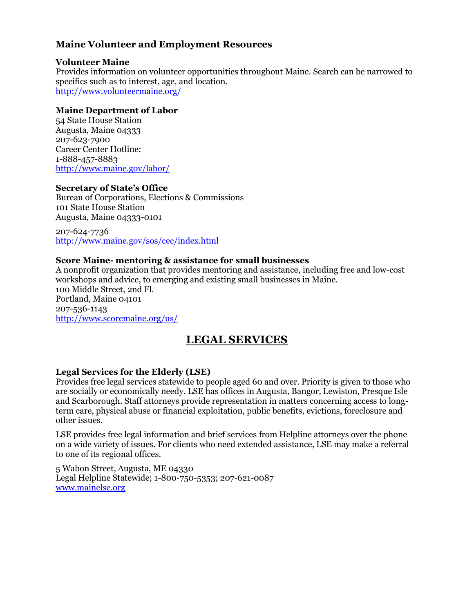### **Maine Volunteer and Employment Resources**

### **Volunteer Maine**

Provides information on volunteer opportunities throughout Maine. Search can be narrowed to specifics such as to interest, age, and location. <http://www.volunteermaine.org/>

### **Maine Department of Labor**

54 State House Station Augusta, Maine 04333 207-623-7900 Career Center Hotline: 1-888-457-8883 <http://www.maine.gov/labor/>

### **Secretary of State's Office**

Bureau of Corporations, Elections & Commissions 101 State House Station Augusta, Maine 04333-0101

207-624-7736 <http://www.maine.gov/sos/cec/index.html>

### **Score Maine- mentoring & assistance for small businesses**

A nonprofit organization that provides mentoring and assistance, including free and low-cost workshops and advice, to emerging and existing small businesses in Maine. 100 Middle Street, 2nd Fl. Portland, Maine 04101 207-536-1143 <http://www.scoremaine.org/us/>

### **LEGAL SERVICES**

### **Legal Services for the Elderly (LSE)**

Provides free legal services statewide to people aged 60 and over. Priority is given to those who are socially or economically needy. LSE has offices in Augusta, Bangor, Lewiston, Presque Isle and Scarborough. Staff attorneys provide representation in matters concerning access to longterm care, physical abuse or financial exploitation, public benefits, evictions, foreclosure and other issues.

LSE provides free legal information and brief services from Helpline attorneys over the phone on a wide variety of issues. For clients who need extended assistance, LSE may make a referral to one of its regional offices.

5 Wabon Street, Augusta, ME 04330 Legal Helpline Statewide; 1-800-750-5353; 207-621-0087 [www.mainelse.org](http://www.mainelse.org/)